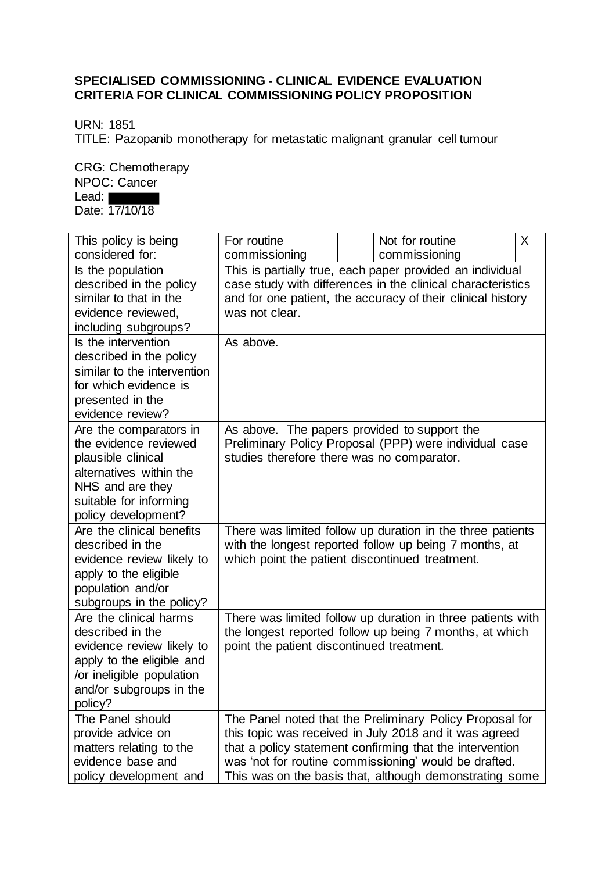## **SPECIALISED COMMISSIONING - CLINICAL EVIDENCE EVALUATION CRITERIA FOR CLINICAL COMMISSIONING POLICY PROPOSITION**

URN: 1851

TITLE: Pazopanib monotherapy for metastatic malignant granular cell tumour

CRG: Chemotherapy NPOC: Cancer Lead:

Date: 17/10/18

| This policy is being                                                                                                                                                    | For routine                                                                                                                                                                                               |  | Not for routine                                                                                                                                                                                                                                                                                    | X |
|-------------------------------------------------------------------------------------------------------------------------------------------------------------------------|-----------------------------------------------------------------------------------------------------------------------------------------------------------------------------------------------------------|--|----------------------------------------------------------------------------------------------------------------------------------------------------------------------------------------------------------------------------------------------------------------------------------------------------|---|
| considered for:                                                                                                                                                         | commissioning                                                                                                                                                                                             |  | commissioning                                                                                                                                                                                                                                                                                      |   |
| Is the population<br>described in the policy<br>similar to that in the<br>evidence reviewed,<br>including subgroups?                                                    | This is partially true, each paper provided an individual<br>case study with differences in the clinical characteristics<br>and for one patient, the accuracy of their clinical history<br>was not clear. |  |                                                                                                                                                                                                                                                                                                    |   |
| Is the intervention<br>described in the policy<br>similar to the intervention<br>for which evidence is<br>presented in the<br>evidence review?                          | As above.                                                                                                                                                                                                 |  |                                                                                                                                                                                                                                                                                                    |   |
| Are the comparators in<br>the evidence reviewed<br>plausible clinical<br>alternatives within the<br>NHS and are they<br>suitable for informing<br>policy development?   | As above. The papers provided to support the<br>studies therefore there was no comparator.                                                                                                                |  | Preliminary Policy Proposal (PPP) were individual case                                                                                                                                                                                                                                             |   |
| Are the clinical benefits<br>described in the<br>evidence review likely to<br>apply to the eligible<br>population and/or<br>subgroups in the policy?                    | which point the patient discontinued treatment.                                                                                                                                                           |  | There was limited follow up duration in the three patients<br>with the longest reported follow up being 7 months, at                                                                                                                                                                               |   |
| Are the clinical harms<br>described in the<br>evidence review likely to<br>apply to the eligible and<br>/or ineligible population<br>and/or subgroups in the<br>policy? | point the patient discontinued treatment.                                                                                                                                                                 |  | There was limited follow up duration in three patients with<br>the longest reported follow up being 7 months, at which                                                                                                                                                                             |   |
| The Panel should<br>provide advice on<br>matters relating to the<br>evidence base and<br>policy development and                                                         |                                                                                                                                                                                                           |  | The Panel noted that the Preliminary Policy Proposal for<br>this topic was received in July 2018 and it was agreed<br>that a policy statement confirming that the intervention<br>was 'not for routine commissioning' would be drafted.<br>This was on the basis that, although demonstrating some |   |